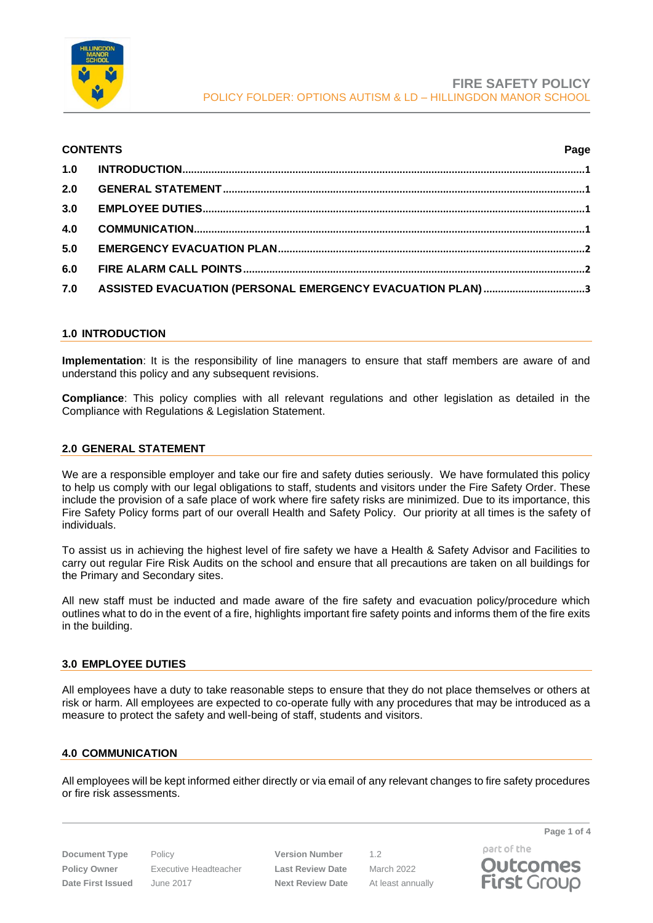

## **CONTENTS Page**

| 2.0 |                                                               |  |
|-----|---------------------------------------------------------------|--|
|     |                                                               |  |
| 4.0 |                                                               |  |
| 5.0 |                                                               |  |
|     |                                                               |  |
|     | 7.0 ASSISTED EVACUATION (PERSONAL EMERGENCY EVACUATION PLAN)3 |  |

## <span id="page-0-0"></span>**1.0 INTRODUCTION**

**Implementation**: It is the responsibility of line managers to ensure that staff members are aware of and understand this policy and any subsequent revisions.

**Compliance**: This policy complies with all relevant regulations and other legislation as detailed in the Compliance with Regulations & Legislation Statement.

### <span id="page-0-1"></span>**2.0 GENERAL STATEMENT**

We are a responsible employer and take our fire and safety duties seriously. We have formulated this policy to help us comply with our legal obligations to staff, students and visitors under the Fire Safety Order. These include the provision of a safe place of work where fire safety risks are minimized. Due to its importance, this Fire Safety Policy forms part of our overall Health and Safety Policy. Our priority at all times is the safety of individuals.

To assist us in achieving the highest level of fire safety we have a Health & Safety Advisor and Facilities to carry out regular Fire Risk Audits on the school and ensure that all precautions are taken on all buildings for the Primary and Secondary sites.

All new staff must be inducted and made aware of the fire safety and evacuation policy/procedure which outlines what to do in the event of a fire, highlights important fire safety points and informs them of the fire exits in the building.

#### <span id="page-0-2"></span>**3.0 EMPLOYEE DUTIES**

All employees have a duty to take reasonable steps to ensure that they do not place themselves or others at risk or harm. All employees are expected to co-operate fully with any procedures that may be introduced as a measure to protect the safety and well-being of staff, students and visitors.

## <span id="page-0-3"></span>**4.0 COMMUNICATION**

All employees will be kept informed either directly or via email of any relevant changes to fire safety procedures or fire risk assessments.

**Document Type** Policy **Version Number** 1.2 **Policy Owner** Executive Headteacher **Last Review Date** March 2022 **Date First Issued** June 2017 **Next Review Date** At least annually

part of the **Outcomes** 

**First Group** 

**Page 1 of 4**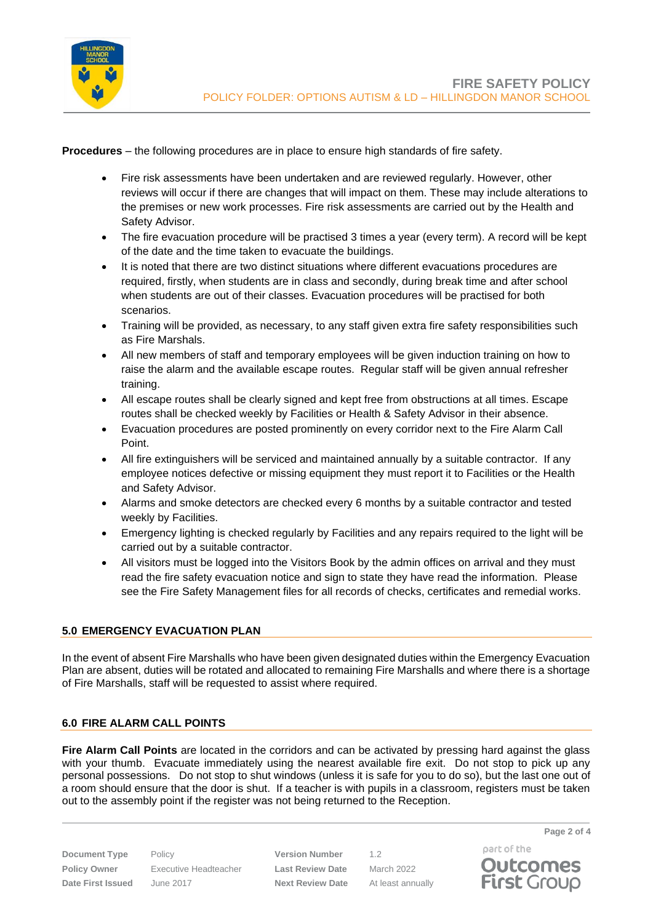

**Procedures** – the following procedures are in place to ensure high standards of fire safety.

- Fire risk assessments have been undertaken and are reviewed regularly. However, other reviews will occur if there are changes that will impact on them. These may include alterations to the premises or new work processes. Fire risk assessments are carried out by the Health and Safety Advisor.
- The fire evacuation procedure will be practised 3 times a year (every term). A record will be kept of the date and the time taken to evacuate the buildings.
- It is noted that there are two distinct situations where different evacuations procedures are required, firstly, when students are in class and secondly, during break time and after school when students are out of their classes. Evacuation procedures will be practised for both scenarios.
- Training will be provided, as necessary, to any staff given extra fire safety responsibilities such as Fire Marshals.
- All new members of staff and temporary employees will be given induction training on how to raise the alarm and the available escape routes. Regular staff will be given annual refresher training.
- All escape routes shall be clearly signed and kept free from obstructions at all times. Escape routes shall be checked weekly by Facilities or Health & Safety Advisor in their absence.
- Evacuation procedures are posted prominently on every corridor next to the Fire Alarm Call Point.
- All fire extinguishers will be serviced and maintained annually by a suitable contractor. If any employee notices defective or missing equipment they must report it to Facilities or the Health and Safety Advisor.
- Alarms and smoke detectors are checked every 6 months by a suitable contractor and tested weekly by Facilities.
- Emergency lighting is checked regularly by Facilities and any repairs required to the light will be carried out by a suitable contractor.
- All visitors must be logged into the Visitors Book by the admin offices on arrival and they must read the fire safety evacuation notice and sign to state they have read the information. Please see the Fire Safety Management files for all records of checks, certificates and remedial works.

## <span id="page-1-0"></span>**5.0 EMERGENCY EVACUATION PLAN**

In the event of absent Fire Marshalls who have been given designated duties within the Emergency Evacuation Plan are absent, duties will be rotated and allocated to remaining Fire Marshalls and where there is a shortage of Fire Marshalls, staff will be requested to assist where required.

## <span id="page-1-1"></span>**6.0 FIRE ALARM CALL POINTS**

**Fire Alarm Call Points** are located in the corridors and can be activated by pressing hard against the glass with your thumb. Evacuate immediately using the nearest available fire exit. Do not stop to pick up any personal possessions. Do not stop to shut windows (unless it is safe for you to do so), but the last one out of a room should ensure that the door is shut. If a teacher is with pupils in a classroom, registers must be taken out to the assembly point if the register was not being returned to the Reception.

**Document Type** Policy **Version Number** 1.2 **Policy Owner** Executive Headteacher **Last Review Date** March 2022 **Date First Issued** June 2017 **Next Review Date** At least annually

part of the **Outcomes First Group** 

**Page 2 of 4**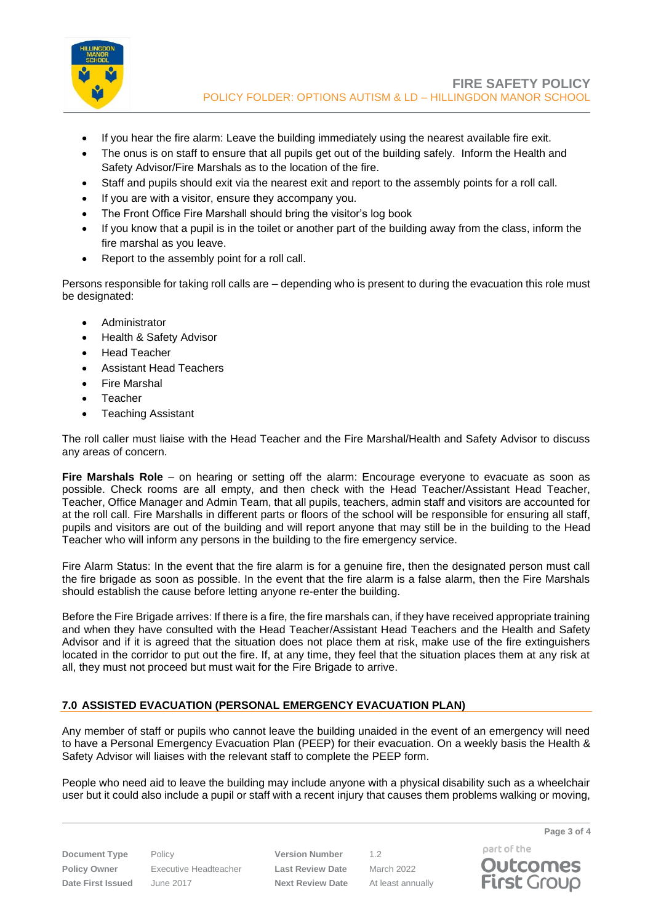

- If you hear the fire alarm: Leave the building immediately using the nearest available fire exit.
- The onus is on staff to ensure that all pupils get out of the building safely. Inform the Health and Safety Advisor/Fire Marshals as to the location of the fire.
- Staff and pupils should exit via the nearest exit and report to the assembly points for a roll call.
- If you are with a visitor, ensure they accompany you.
- The Front Office Fire Marshall should bring the visitor's log book
- If you know that a pupil is in the toilet or another part of the building away from the class, inform the fire marshal as you leave.
- Report to the assembly point for a roll call.

Persons responsible for taking roll calls are – depending who is present to during the evacuation this role must be designated:

- **Administrator**
- Health & Safety Advisor
- Head Teacher
- Assistant Head Teachers
- **Fire Marshal**
- **Teacher**
- Teaching Assistant

The roll caller must liaise with the Head Teacher and the Fire Marshal/Health and Safety Advisor to discuss any areas of concern.

**Fire Marshals Role** – on hearing or setting off the alarm: Encourage everyone to evacuate as soon as possible. Check rooms are all empty, and then check with the Head Teacher/Assistant Head Teacher, Teacher, Office Manager and Admin Team, that all pupils, teachers, admin staff and visitors are accounted for at the roll call. Fire Marshalls in different parts or floors of the school will be responsible for ensuring all staff, pupils and visitors are out of the building and will report anyone that may still be in the building to the Head Teacher who will inform any persons in the building to the fire emergency service.

Fire Alarm Status: In the event that the fire alarm is for a genuine fire, then the designated person must call the fire brigade as soon as possible. In the event that the fire alarm is a false alarm, then the Fire Marshals should establish the cause before letting anyone re-enter the building.

Before the Fire Brigade arrives: If there is a fire, the fire marshals can, if they have received appropriate training and when they have consulted with the Head Teacher/Assistant Head Teachers and the Health and Safety Advisor and if it is agreed that the situation does not place them at risk, make use of the fire extinguishers located in the corridor to put out the fire. If, at any time, they feel that the situation places them at any risk at all, they must not proceed but must wait for the Fire Brigade to arrive.

# <span id="page-2-0"></span>**7.0 ASSISTED EVACUATION (PERSONAL EMERGENCY EVACUATION PLAN)**

Any member of staff or pupils who cannot leave the building unaided in the event of an emergency will need to have a Personal Emergency Evacuation Plan (PEEP) for their evacuation. On a weekly basis the Health & Safety Advisor will liaises with the relevant staff to complete the PEEP form.

People who need aid to leave the building may include anyone with a physical disability such as a wheelchair user but it could also include a pupil or staff with a recent injury that causes them problems walking or moving,

**Document Type** Policy **Version Number** 1.2 **Policy Owner** Executive Headteacher **Last Review Date** March 2022 **Date First Issued** June 2017 **Next Review Date** At least annually

part of the **Outcomes First Group** 

**Page 3 of 4**